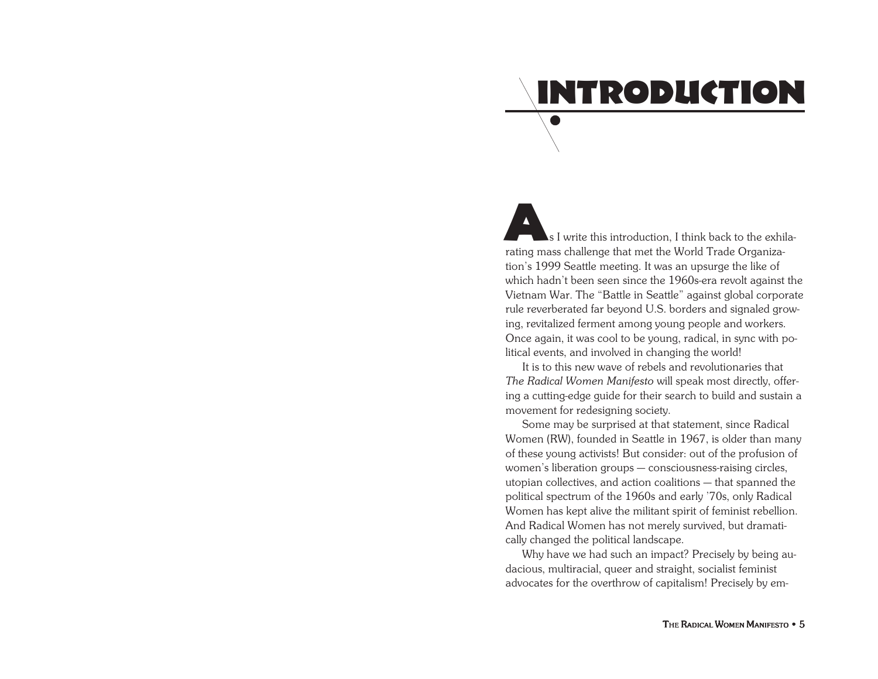introduction

 $\mathbf A$ s I write this introduction. I think back to the exhilarating mass challenge that met the World Trade Organization's 1999 Seattle meeting. It was an upsurge the like of which hadn't been seen since the 1960s-era revolt against the Vietnam War. The "Battle in Seattle" against global corporate rule reverberated far beyond U.S. borders and signaled growing, revitalized ferment among young people and workers. Once again, it was cool to be young, radical, in sync with political events, and involved in changing the world!

It is to this new wave of rebels and revolutionaries that *The Radical Women Manifesto* will speak most directly, offering a cutting-edge guide for their search to build and sustain a movement for redesigning society.

Some may be surprised at that statement, since Radical Women (RW), founded in Seattle in 1967, is older than many of these young activists! But consider: out of the profusion of women's liberation groups — consciousness-raising circles, utopian collectives, and action coalitions — that spanned the political spectrum of the 1960s and early '70s, only Radical Women has kept alive the militant spirit of feminist rebellion. And Radical Women has not merely survived, but dramatically changed the political landscape.

Why have we had such an impact? Precisely by being audacious, multiracial, queer and straight, socialist feminist advocates for the overthrow of capitalism! Precisely by em-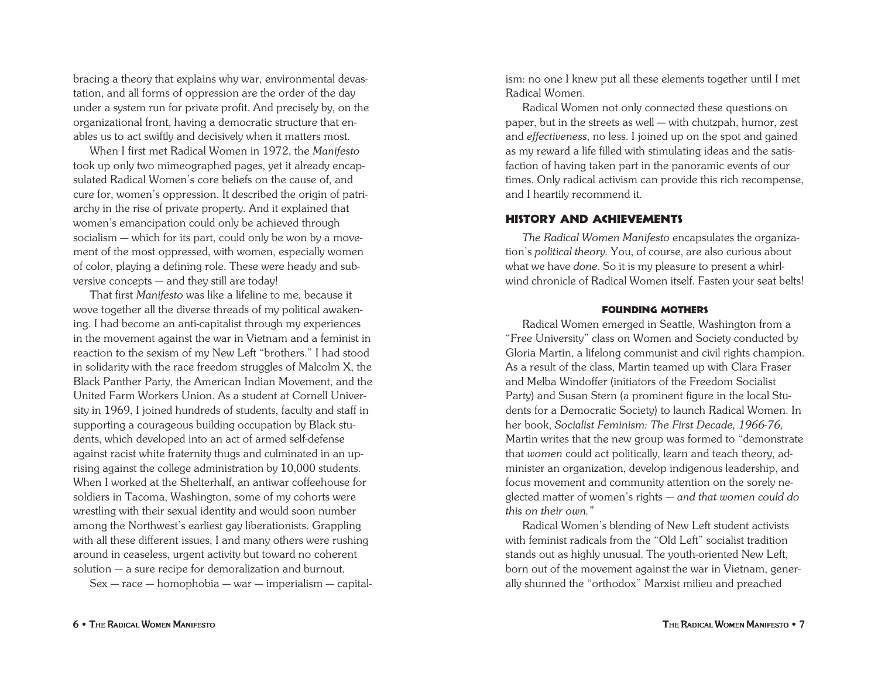bracing a theory that explains why war, environmental devastation, and all forms of oppression are the order of the day under a system run for private profit. And precisely by, on the organizational front, having a democratic structure that enables us to act swiftly and decisively when it matters most.

When I first met Radical Women in 1972, the *Manifesto* took up only two mimeographed pages, yet it already encapsulated Radical Women's core beliefs on the cause of, and cure for, women's oppression. It described the origin of patriarchy in the rise of private property. And it explained that women's emancipation could only be achieved through socialism — which for its part, could only be won by a movement of the most oppressed, with women, especially women of color, playing a defining role. These were heady and subversive concepts — and they still are today!

That first *Manifesto* was like a lifeline to me, because it wove together all the diverse threads of my political awakening. I had become an anti-capitalist through my experiences in the movement against the war in Vietnam and a feminist in reaction to the sexism of my New Left "brothers." I had stood in solidarity with the race freedom struggles of Malcolm X, the Black Panther Party, the American Indian Movement, and the United Farm Workers Union. As a student at Cornell University in 1969, I joined hundreds of students, faculty and staff in supporting a courageous building occupation by Black students, which developed into an act of armed self-defense against racist white fraternity thugs and culminated in an uprising against the college administration by 10,000 students. When I worked at the Shelterhalf, an antiwar coffeehouse for soldiers in Tacoma, Washington, some of my cohorts were wrestling with their sexual identity and would soon number among the Northwest's earliest gay liberationists. Grappling with all these different issues, I and many others were rushing around in ceaseless, urgent activity but toward no coherent solution — a sure recipe for demoralization and burnout.

Sex — race — homophobia — war — imperialism — capital-

ism: no one I knew put all these elements together until I met Radical Women.

Radical Women not only connected these questions on paper, but in the streets as well — with chutzpah, humor, zest and *effectiveness*, no less. I joined up on the spot and gained as my reward a life filled with stimulating ideas and the satisfaction of having taken part in the panoramic events of our times. Only radical activism can provide this rich recompense, and I heartily recommend it.

# History and achievements

*The Radical Women Manifesto* encapsulates the organization's *political theory.* You, of course, are also curious about what we have *done*. So it is my pleasure to present a whirlwind chronicle of Radical Women itself. Fasten your seat belts!

### Founding mothers

Radical Women emerged in Seattle, Washington from a "Free University" class on Women and Society conducted by Gloria Martin, a lifelong communist and civil rights champion. As a result of the class, Martin teamed up with Clara Fraser and Melba Windoffer (initiators of the Freedom Socialist Party) and Susan Stern (a prominent figure in the local Students for a Democratic Society) to launch Radical Women. In her book, *Socialist Feminism: The First Decade, 1966-76,* Martin writes that the new group was formed to "demonstrate that *women* could act politically, learn and teach theory, administer an organization, develop indigenous leadership, and focus movement and community attention on the sorely neglected matter of women's rights — *and that women could do this on their own."*

Radical Women's blending of New Left student activists with feminist radicals from the "Old Left" socialist tradition stands out as highly unusual. The youth-oriented New Left, born out of the movement against the war in Vietnam, generally shunned the "orthodox" Marxist milieu and preached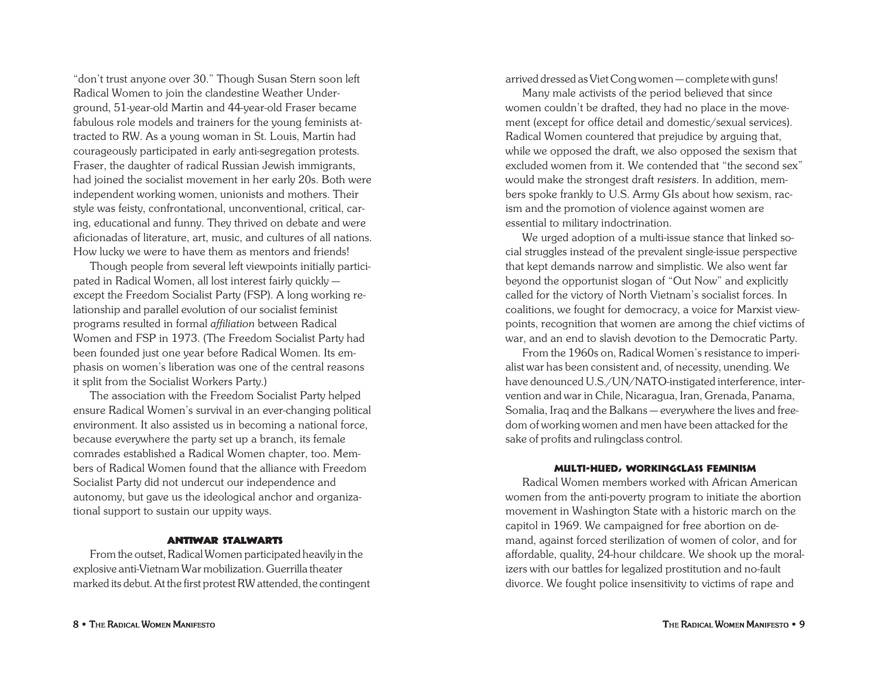"don't trust anyone over 30." Though Susan Stern soon left Radical Women to join the clandestine Weather Underground, 51-year-old Martin and 44-year-old Fraser became fabulous role models and trainers for the young feminists attracted to RW. As a young woman in St. Louis, Martin had courageously participated in early anti-segregation protests. Fraser, the daughter of radical Russian Jewish immigrants, had joined the socialist movement in her early 20s. Both were independent working women, unionists and mothers. Their style was feisty, confrontational, unconventional, critical, caring, educational and funny. They thrived on debate and were aficionadas of literature, art, music, and cultures of all nations. How lucky we were to have them as mentors and friends!

Though people from several left viewpoints initially participated in Radical Women, all lost interest fairly quickly except the Freedom Socialist Party (FSP). A long working relationship and parallel evolution of our socialist feminist programs resulted in formal *affiliation* between Radical Women and FSP in 1973. (The Freedom Socialist Party had been founded just one year before Radical Women. Its emphasis on women's liberation was one of the central reasons it split from the Socialist Workers Party.)

The association with the Freedom Socialist Party helped ensure Radical Women's survival in an ever-changing political environment. It also assisted us in becoming a national force, because everywhere the party set up a branch, its female comrades established a Radical Women chapter, too. Members of Radical Women found that the alliance with Freedom Socialist Party did not undercut our independence and autonomy, but gave us the ideological anchor and organizational support to sustain our uppity ways.

# Antiwar stalwarts

From the outset, Radical Women participated heavily in the explosive anti-Vietnam War mobilization. Guerrilla theater marked its debut. At the first protest RW attended, the contingent arrived dressed as Viet Cong women — complete with guns!

Many male activists of the period believed that since women couldn't be drafted, they had no place in the movement (except for office detail and domestic/sexual services). Radical Women countered that prejudice by arguing that, while we opposed the draft, we also opposed the sexism that excluded women from it. We contended that "the second sex" would make the strongest draft *resisters*. In addition, members spoke frankly to U.S. Army GIs about how sexism, racism and the promotion of violence against women are essential to military indoctrination.

We urged adoption of a multi-issue stance that linked social struggles instead of the prevalent single-issue perspective that kept demands narrow and simplistic. We also went far beyond the opportunist slogan of "Out Now" and explicitly called for the victory of North Vietnam's socialist forces. In coalitions, we fought for democracy, a voice for Marxist viewpoints, recognition that women are among the chief victims of war, and an end to slavish devotion to the Democratic Party.

From the 1960s on, Radical Women's resistance to imperialist war has been consistent and, of necessity, unending. We have denounced U.S./UN/NATO-instigated interference, intervention and war in Chile, Nicaragua, Iran, Grenada, Panama, Somalia, Iraq and the Balkans — everywhere the lives and freedom of working women and men have been attacked for the sake of profits and rulingclass control.

## Multi-hued, workingclass feminism

Radical Women members worked with African American women from the anti-poverty program to initiate the abortion movement in Washington State with a historic march on the capitol in 1969. We campaigned for free abortion on demand, against forced sterilization of women of color, and for affordable, quality, 24-hour childcare. We shook up the moralizers with our battles for legalized prostitution and no-fault divorce. We fought police insensitivity to victims of rape and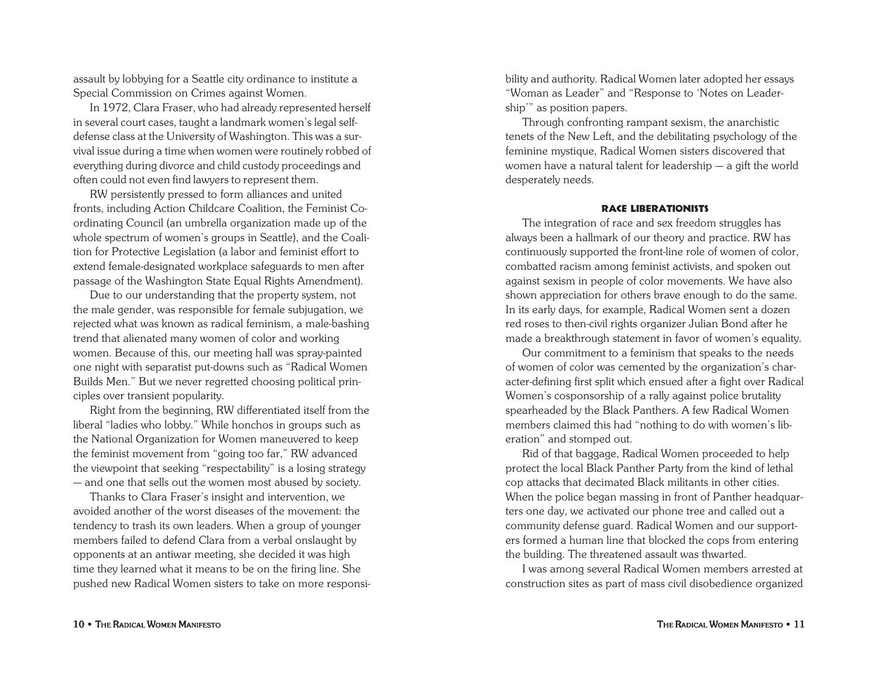assault by lobbying for a Seattle city ordinance to institute a Special Commission on Crimes against Women.

In 1972, Clara Fraser, who had already represented herself in several court cases, taught a landmark women's legal selfdefense class at the University of Washington. This was a survival issue during a time when women were routinely robbed of everything during divorce and child custody proceedings and often could not even find lawyers to represent them.

RW persistently pressed to form alliances and united fronts, including Action Childcare Coalition, the Feminist Coordinating Council (an umbrella organization made up of the whole spectrum of women's groups in Seattle), and the Coalition for Protective Legislation (a labor and feminist effort to extend female-designated workplace safeguards to men after passage of the Washington State Equal Rights Amendment).

Due to our understanding that the property system, not the male gender, was responsible for female subjugation, we rejected what was known as radical feminism, a male-bashing trend that alienated many women of color and working women. Because of this, our meeting hall was spray-painted one night with separatist put-downs such as "Radical Women Builds Men." But we never regretted choosing political principles over transient popularity.

Right from the beginning, RW differentiated itself from the liberal "ladies who lobby." While honchos in groups such as the National Organization for Women maneuvered to keep the feminist movement from "going too far," RW advanced the viewpoint that seeking "respectability" is a losing strategy — and one that sells out the women most abused by society.

Thanks to Clara Fraser's insight and intervention, we avoided another of the worst diseases of the movement: the tendency to trash its own leaders. When a group of younger members failed to defend Clara from a verbal onslaught by opponents at an antiwar meeting, she decided it was high time they learned what it means to be on the firing line. She pushed new Radical Women sisters to take on more responsi-

bility and authority. Radical Women later adopted her essays "Woman as Leader" and "Response to 'Notes on Leadership'" as position papers.

Through confronting rampant sexism, the anarchistic tenets of the New Left, and the debilitating psychology of the feminine mystique, Radical Women sisters discovered that women have a natural talent for leadership — a gift the world desperately needs.

#### Race liberationists

The integration of race and sex freedom struggles has always been a hallmark of our theory and practice. RW has continuously supported the front-line role of women of color, combatted racism among feminist activists, and spoken out against sexism in people of color movements. We have also shown appreciation for others brave enough to do the same. In its early days, for example, Radical Women sent a dozen red roses to then-civil rights organizer Julian Bond after he made a breakthrough statement in favor of women's equality.

Our commitment to a feminism that speaks to the needs of women of color was cemented by the organization's character-defining first split which ensued after a fight over Radical Women's cosponsorship of a rally against police brutality spearheaded by the Black Panthers. A few Radical Women members claimed this had "nothing to do with women's liberation" and stomped out.

Rid of that baggage, Radical Women proceeded to help protect the local Black Panther Party from the kind of lethal cop attacks that decimated Black militants in other cities. When the police began massing in front of Panther headquarters one day, we activated our phone tree and called out a community defense guard. Radical Women and our supporters formed a human line that blocked the cops from entering the building. The threatened assault was thwarted.

I was among several Radical Women members arrested at construction sites as part of mass civil disobedience organized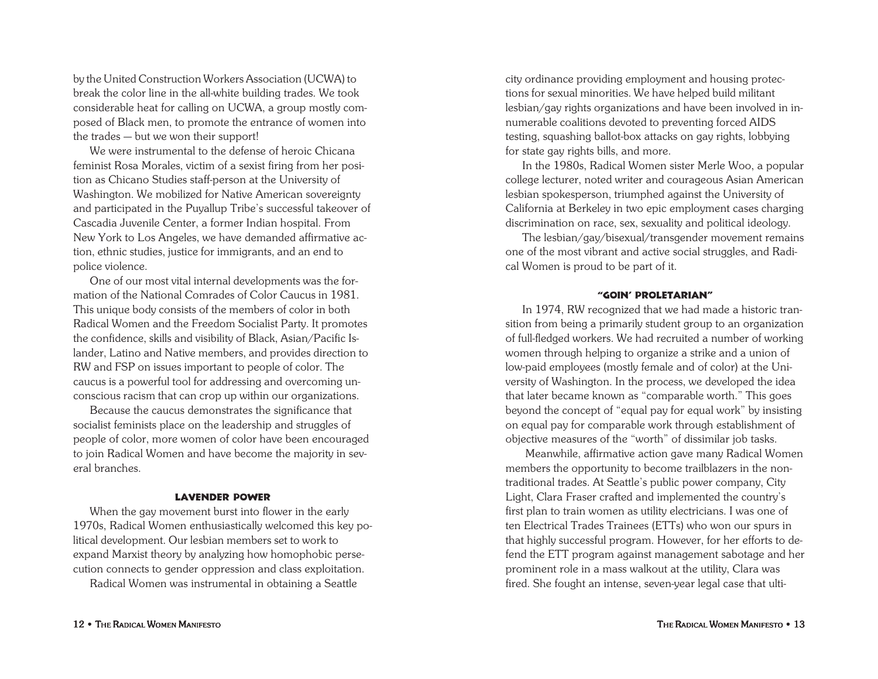by the United Construction Workers Association (UCWA) to break the color line in the all-white building trades. We took considerable heat for calling on UCWA, a group mostly com posed of Black men, to promote the entrance of women into the trades — but we won their support!

We were instrumental to the defense of heroic Chicana feminist Rosa Morales, victim of a sexist firing from her posi tion as Chicano Studies staff-person at the University of Washington. We mobilized for Native American sovereignty and participated in the Puyallup Tribe's successful takeover of Cascadia Juvenile Center, a former Indian hospital. From New York to Los Angeles, we have demanded affirmative ac tion, ethnic studies, justice for immigrants, and an end to police violence.

One of our most vital internal developments was the for mation of the National Comrades of Color Caucus in 1981. This unique body consists of the members of color in both Radical Women and the Freedom Socialist Party. It promotes the confidence, skills and visibility of Black, Asian/Pacific Is lander, Latino and Native members, and provides direction to RW and FSP on issues important to people of color. The caucus is a powerful tool for addressing and overcoming un conscious racism that can crop up within our organizations.

Because the caucus demonstrates the significance that socialist feminists place on the leadership and struggles of people of color, more women of color have been encouraged to join Radical Women and have become the majority in sev eral branches.

### Lavender power

When the gay movement burst into flower in the early 1970s, Radical Women enthusiastically welcomed this key po litical development. Our lesbian members set to work to expand Marxist theory by analyzing how homophobic perse cution connects to gender oppression and class exploitation.

Radical Women was instrumental in obtaining a Seattle

city ordinance providing employment and housing protections for sexual minorities. We have helped build militant lesbian/gay rights organizations and have been involved in innumerable coalitions devoted to preventing forced AIDS testing, squashing ballot-box attacks on gay rights, lobbying for state gay rights bills, and more.

In the 1980s, Radical Women sister Merle Woo, a popular college lecturer, noted writer and courageous Asian American lesbian spokesperson, triumphed against the University of California at Berkeley in two epic employment cases charging discrimination on race, sex, sexuality and political ideology.

The lesbian/gay/bisexual/transgender movement remains one of the most vibrant and active social struggles, and Radical Women is proud to be part of it.

### "GOIN' PROLETARIAN"

In 1974, RW recognized that we had made a historic transition from being a primarily student group to an organization of full-fledged workers. We had recruited a number of working women through helping to organize a strike and a union of low-paid employees (mostly female and of color) at the University of Washington. In the process, we developed the idea that later became known as "comparable worth." This goes beyond the concept of "equal pay for equal work" by insisting on equal pay for comparable work through establishment of objective measures of the "worth" of dissimilar job tasks.

 Meanwhile, affirmative action gave many Radical Women members the opportunity to become trailblazers in the nontraditional trades. At Seattle's public power company, City Light, Clara Fraser crafted and implemented the country's first plan to train women as utility electricians. I was one of ten Electrical Trades Trainees (ETTs) who won our spurs in that highly successful program. However, for her efforts to defend the ETT program against management sabotage and her prominent role in a mass walkout at the utility, Clara was fired. She fought an intense, seven-year legal case that ulti-